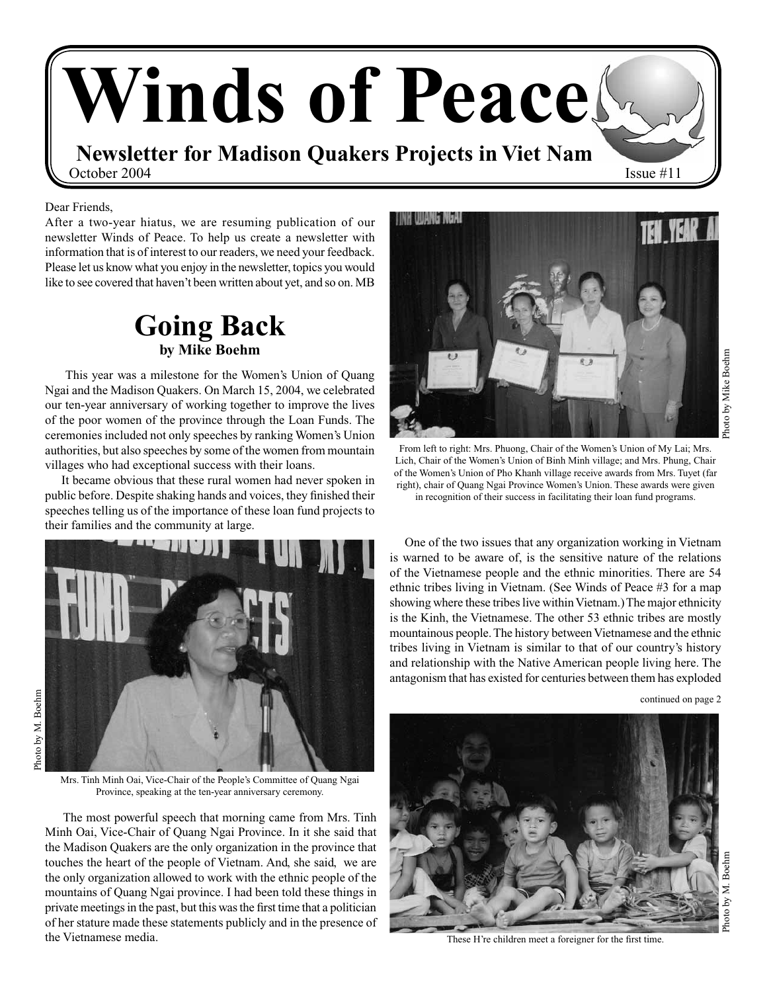

Dear Friends,

After a two-year hiatus, we are resuming publication of our newsletter Winds of Peace. To help us create a newsletter with information that is of interest to our readers, we need your feedback. Please let us know what you enjoy in the newsletter, topics you would like to see covered that haven't been written about yet, and so on. MB

### **Going Back by Mike Boehm**

 This year was a milestone for the Women's Union of Quang Ngai and the Madison Quakers. On March 15, 2004, we celebrated our ten-year anniversary of working together to improve the lives of the poor women of the province through the Loan Funds. The ceremonies included not only speeches by ranking Women's Union authorities, but also speeches by some of the women from mountain villages who had exceptional success with their loans.

 It became obvious that these rural women had never spoken in public before. Despite shaking hands and voices, they finished their speeches telling us of the importance of these loan fund projects to their families and the community at large.



Mrs. Tinh Minh Oai, Vice-Chair of the People's Committee of Quang Ngai Province, speaking at the ten-year anniversary ceremony.

 The most powerful speech that morning came from Mrs. Tinh Minh Oai, Vice-Chair of Quang Ngai Province. In it she said that the Madison Quakers are the only organization in the province that touches the heart of the people of Vietnam. And, she said, we are the only organization allowed to work with the ethnic people of the mountains of Quang Ngai province. I had been told these things in private meetings in the past, but this was the first time that a politician of her stature made these statements publicly and in the presence of the Vietnamese media.



From left to right: Mrs. Phuong, Chair of the Women's Union of My Lai; Mrs. Lich, Chair of the Women's Union of Binh Minh village; and Mrs. Phung, Chair of the Women's Union of Pho Khanh village receive awards from Mrs. Tuyet (far right), chair of Quang Ngai Province Women's Union. These awards were given in recognition of their success in facilitating their loan fund programs.

 One of the two issues that any organization working in Vietnam is warned to be aware of, is the sensitive nature of the relations of the Vietnamese people and the ethnic minorities. There are 54 ethnic tribes living in Vietnam. (See Winds of Peace #3 for a map showing where these tribes live within Vietnam.) The major ethnicity is the Kinh, the Vietnamese. The other 53 ethnic tribes are mostly mountainous people. The history between Vietnamese and the ethnic tribes living in Vietnam is similar to that of our country's history and relationship with the Native American people living here. The antagonism that has existed for centuries between them has exploded

continued on page 2



These H're children meet a foreigner for the first time.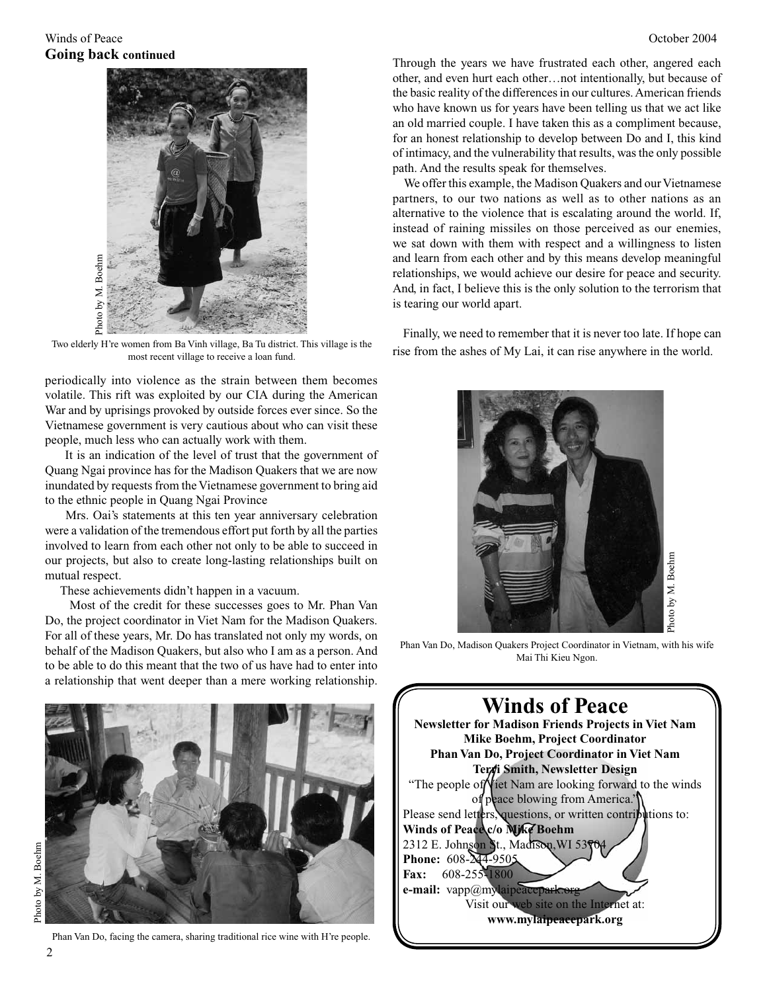

Two elderly H're women from Ba Vinh village, Ba Tu district. This village is the most recent village to receive a loan fund.

periodically into violence as the strain between them becomes volatile. This rift was exploited by our CIA during the American War and by uprisings provoked by outside forces ever since. So the Vietnamese government is very cautious about who can visit these people, much less who can actually work with them.

 It is an indication of the level of trust that the government of Quang Ngai province has for the Madison Quakers that we are now inundated by requests from the Vietnamese government to bring aid to the ethnic people in Quang Ngai Province

 Mrs. Oai's statements at this ten year anniversary celebration were a validation of the tremendous effort put forth by all the parties involved to learn from each other not only to be able to succeed in our projects, but also to create long-lasting relationships built on mutual respect.

These achievements didn't happen in a vacuum.

 Most of the credit for these successes goes to Mr. Phan Van Do, the project coordinator in Viet Nam for the Madison Quakers. For all of these years, Mr. Do has translated not only my words, on behalf of the Madison Quakers, but also who I am as a person. And to be able to do this meant that the two of us have had to enter into a relationship that went deeper than a mere working relationship.



Phan Van Do, facing the camera, sharing traditional rice wine with H're people.

Through the years we have frustrated each other, angered each other, and even hurt each other…not intentionally, but because of the basic reality of the differences in our cultures. American friends who have known us for years have been telling us that we act like an old married couple. I have taken this as a compliment because, for an honest relationship to develop between Do and I, this kind of intimacy, and the vulnerability that results, was the only possible path. And the results speak for themselves.

 We offer this example, the Madison Quakers and our Vietnamese partners, to our two nations as well as to other nations as an alternative to the violence that is escalating around the world. If, instead of raining missiles on those perceived as our enemies, we sat down with them with respect and a willingness to listen and learn from each other and by this means develop meaningful relationships, we would achieve our desire for peace and security. And, in fact, I believe this is the only solution to the terrorism that is tearing our world apart.

 Finally, we need to remember that it is never too late. If hope can rise from the ashes of My Lai, it can rise anywhere in the world.



Phan Van Do, Madison Quakers Project Coordinator in Vietnam, with his wife Mai Thi Kieu Ngon.

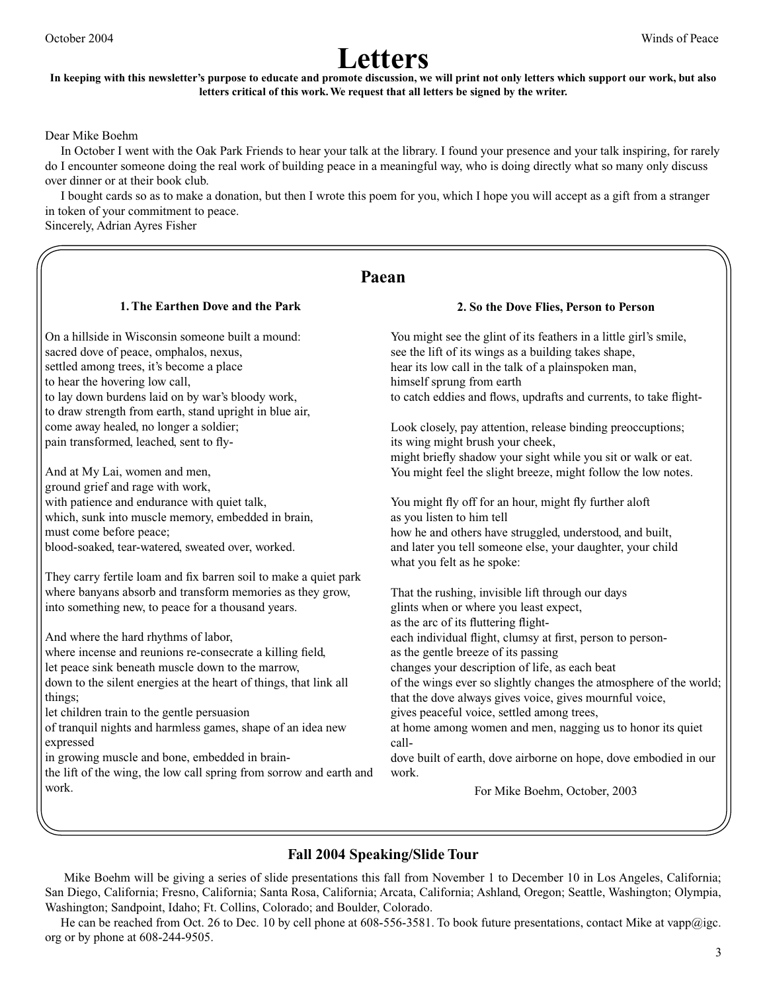### **Letters In keeping with this newsletter's purpose to educate and promote discussion, we will print not only letters which support our work, but also letters critical of this work. We request that all letters be signed by the writer.**

Dear Mike Boehm

 In October I went with the Oak Park Friends to hear your talk at the library. I found your presence and your talk inspiring, for rarely do I encounter someone doing the real work of building peace in a meaningful way, who is doing directly what so many only discuss over dinner or at their book club.

 I bought cards so as to make a donation, but then I wrote this poem for you, which I hope you will accept as a gift from a stranger in token of your commitment to peace.

Sincerely, Adrian Ayres Fisher

### **Paean**

#### **1. The Earthen Dove and the Park**

On a hillside in Wisconsin someone built a mound: sacred dove of peace, omphalos, nexus, settled among trees, it's become a place to hear the hovering low call, to lay down burdens laid on by war's bloody work, to draw strength from earth, stand upright in blue air, come away healed, no longer a soldier; pain transformed, leached, sent to fly-

And at My Lai, women and men, ground grief and rage with work, with patience and endurance with quiet talk, which, sunk into muscle memory, embedded in brain, must come before peace; blood-soaked, tear-watered, sweated over, worked.

They carry fertile loam and fix barren soil to make a quiet park where banyans absorb and transform memories as they grow, into something new, to peace for a thousand years.

And where the hard rhythms of labor,

where incense and reunions re-consecrate a killing field, let peace sink beneath muscle down to the marrow, down to the silent energies at the heart of things, that link all things;

let children train to the gentle persuasion

of tranquil nights and harmless games, shape of an idea new expressed

in growing muscle and bone, embedded in brain-

the lift of the wing, the low call spring from sorrow and earth and work.

#### **2. So the Dove Flies, Person to Person**

You might see the glint of its feathers in a little girl's smile, see the lift of its wings as a building takes shape, hear its low call in the talk of a plainspoken man, himself sprung from earth to catch eddies and flows, updrafts and currents, to take flight-

Look closely, pay attention, release binding preoccuptions; its wing might brush your cheek, might briefly shadow your sight while you sit or walk or eat. You might feel the slight breeze, might follow the low notes.

You might fly off for an hour, might fly further aloft as you listen to him tell how he and others have struggled, understood, and built, and later you tell someone else, your daughter, your child what you felt as he spoke:

That the rushing, invisible lift through our days glints when or where you least expect, as the arc of its fluttering flighteach individual flight, clumsy at first, person to personas the gentle breeze of its passing changes your description of life, as each beat of the wings ever so slightly changes the atmosphere of the world; that the dove always gives voice, gives mournful voice, gives peaceful voice, settled among trees, at home among women and men, nagging us to honor its quiet calldove built of earth, dove airborne on hope, dove embodied in our work.

For Mike Boehm, October, 2003

### **Fall 2004 Speaking/Slide Tour**

 Mike Boehm will be giving a series of slide presentations this fall from November 1 to December 10 in Los Angeles, California; San Diego, California; Fresno, California; Santa Rosa, California; Arcata, California; Ashland, Oregon; Seattle, Washington; Olympia, Washington; Sandpoint, Idaho; Ft. Collins, Colorado; and Boulder, Colorado.

He can be reached from Oct. 26 to Dec. 10 by cell phone at 608-556-3581. To book future presentations, contact Mike at vapp@igc. org or by phone at 608-244-9505.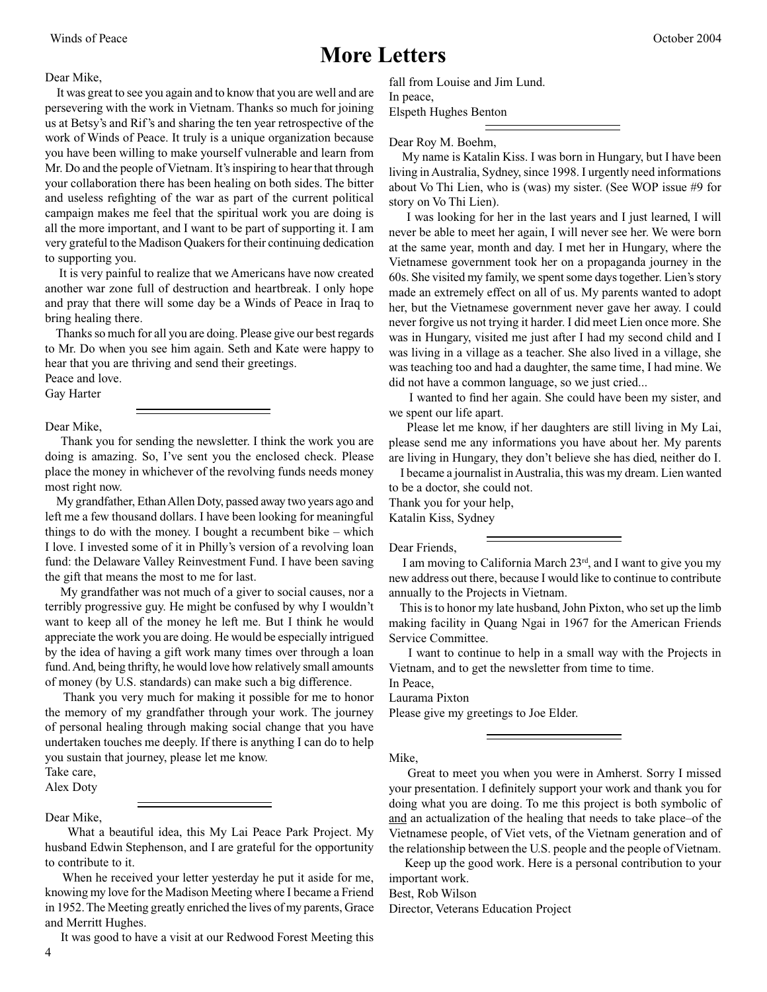### **More Letters**

Dear Mike,

 It was great to see you again and to know that you are well and are persevering with the work in Vietnam. Thanks so much for joining us at Betsy's and Rif's and sharing the ten year retrospective of the work of Winds of Peace. It truly is a unique organization because you have been willing to make yourself vulnerable and learn from Mr. Do and the people of Vietnam. It's inspiring to hear that through your collaboration there has been healing on both sides. The bitter and useless refighting of the war as part of the current political campaign makes me feel that the spiritual work you are doing is all the more important, and I want to be part of supporting it. I am very grateful to the Madison Quakers for their continuing dedication to supporting you.

 It is very painful to realize that we Americans have now created another war zone full of destruction and heartbreak. I only hope and pray that there will some day be a Winds of Peace in Iraq to bring healing there.

 Thanks so much for all you are doing. Please give our best regards to Mr. Do when you see him again. Seth and Kate were happy to hear that you are thriving and send their greetings.

Peace and love.

Gay Harter

#### Dear Mike,

 Thank you for sending the newsletter. I think the work you are doing is amazing. So, I've sent you the enclosed check. Please place the money in whichever of the revolving funds needs money most right now.

 My grandfather, Ethan Allen Doty, passed away two years ago and left me a few thousand dollars. I have been looking for meaningful things to do with the money. I bought a recumbent bike – which I love. I invested some of it in Philly's version of a revolving loan fund: the Delaware Valley Reinvestment Fund. I have been saving the gift that means the most to me for last.

 My grandfather was not much of a giver to social causes, nor a terribly progressive guy. He might be confused by why I wouldn't want to keep all of the money he left me. But I think he would appreciate the work you are doing. He would be especially intrigued by the idea of having a gift work many times over through a loan fund. And, being thrifty, he would love how relatively small amounts of money (by U.S. standards) can make such a big difference.

 Thank you very much for making it possible for me to honor the memory of my grandfather through your work. The journey of personal healing through making social change that you have undertaken touches me deeply. If there is anything I can do to help you sustain that journey, please let me know.

Take care,

### Alex Doty

#### Dear Mike,

 What a beautiful idea, this My Lai Peace Park Project. My husband Edwin Stephenson, and I are grateful for the opportunity to contribute to it.

 When he received your letter yesterday he put it aside for me, knowing my love for the Madison Meeting where I became a Friend in 1952. The Meeting greatly enriched the lives of my parents, Grace and Merritt Hughes.

It was good to have a visit at our Redwood Forest Meeting this

fall from Louise and Jim Lund. In peace, Elspeth Hughes Benton

Dear Roy M. Boehm,

 My name is Katalin Kiss. I was born in Hungary, but I have been living in Australia, Sydney, since 1998. I urgently need informations about Vo Thi Lien, who is (was) my sister. (See WOP issue #9 for story on Vo Thi Lien).

 I was looking for her in the last years and I just learned, I will never be able to meet her again, I will never see her. We were born at the same year, month and day. I met her in Hungary, where the Vietnamese government took her on a propaganda journey in the 60s. She visited my family, we spent some days together. Lien's story made an extremely effect on all of us. My parents wanted to adopt her, but the Vietnamese government never gave her away. I could never forgive us not trying it harder. I did meet Lien once more. She was in Hungary, visited me just after I had my second child and I was living in a village as a teacher. She also lived in a village, she was teaching too and had a daughter, the same time, I had mine. We did not have a common language, so we just cried...

 I wanted to find her again. She could have been my sister, and we spent our life apart.

 Please let me know, if her daughters are still living in My Lai, please send me any informations you have about her. My parents are living in Hungary, they don't believe she has died, neither do I.

 I became a journalist in Australia, this was my dream. Lien wanted to be a doctor, she could not.

Thank you for your help,

Katalin Kiss, Sydney

Dear Friends,

 I am moving to California March 23rd, and I want to give you my new address out there, because I would like to continue to contribute annually to the Projects in Vietnam.

 This is to honor my late husband, John Pixton, who set up the limb making facility in Quang Ngai in 1967 for the American Friends Service Committee.

 I want to continue to help in a small way with the Projects in Vietnam, and to get the newsletter from time to time.

In Peace, Laurama Pixton

Please give my greetings to Joe Elder.

Mike,

 Great to meet you when you were in Amherst. Sorry I missed your presentation. I definitely support your work and thank you for doing what you are doing. To me this project is both symbolic of and an actualization of the healing that needs to take place–of the Vietnamese people, of Viet vets, of the Vietnam generation and of the relationship between the U.S. people and the people of Vietnam.

 Keep up the good work. Here is a personal contribution to your important work.

Best, Rob Wilson

Director, Veterans Education Project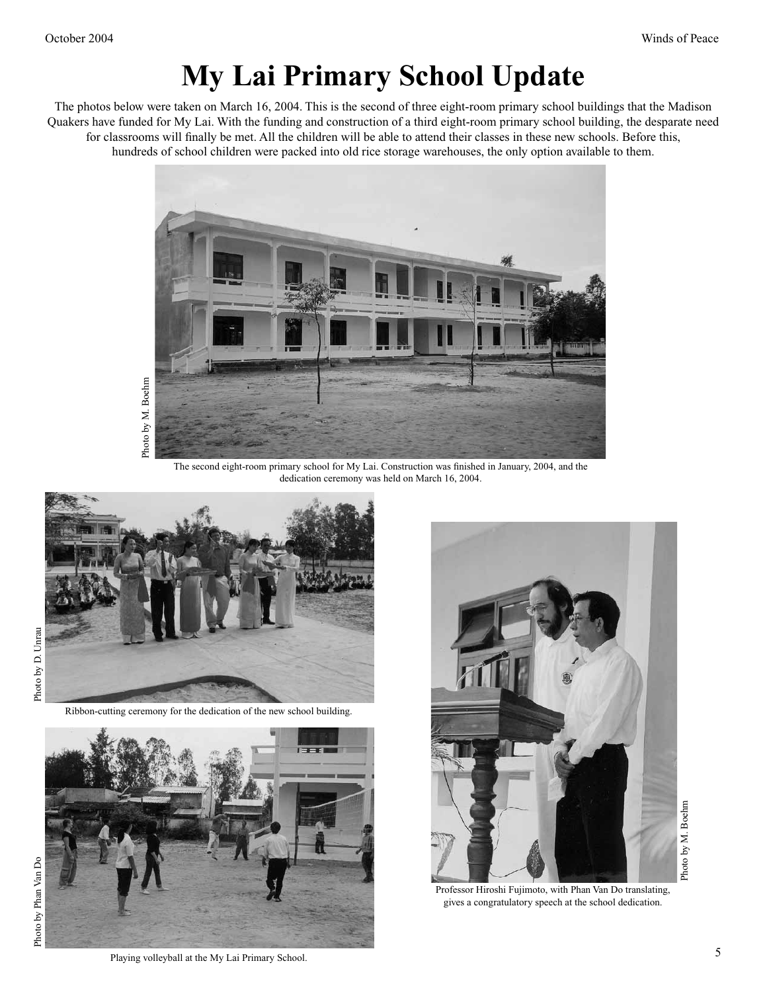# **My Lai Primary School Update**

The photos below were taken on March 16, 2004. This is the second of three eight-room primary school buildings that the Madison Quakers have funded for My Lai. With the funding and construction of a third eight-room primary school building, the desparate need for classrooms will finally be met. All the children will be able to attend their classes in these new schools. Before this, hundreds of school children were packed into old rice storage warehouses, the only option available to them.



The second eight-room primary school for My Lai. Construction was finished in January, 2004, and the dedication ceremony was held on March 16, 2004.



Ribbon-cutting ceremony for the dedication of the new school building.





Professor Hiroshi Fujimoto, with Phan Van Do translating, gives a congratulatory speech at the school dedication.

Photo by M. Boehm Photo by M. Boehm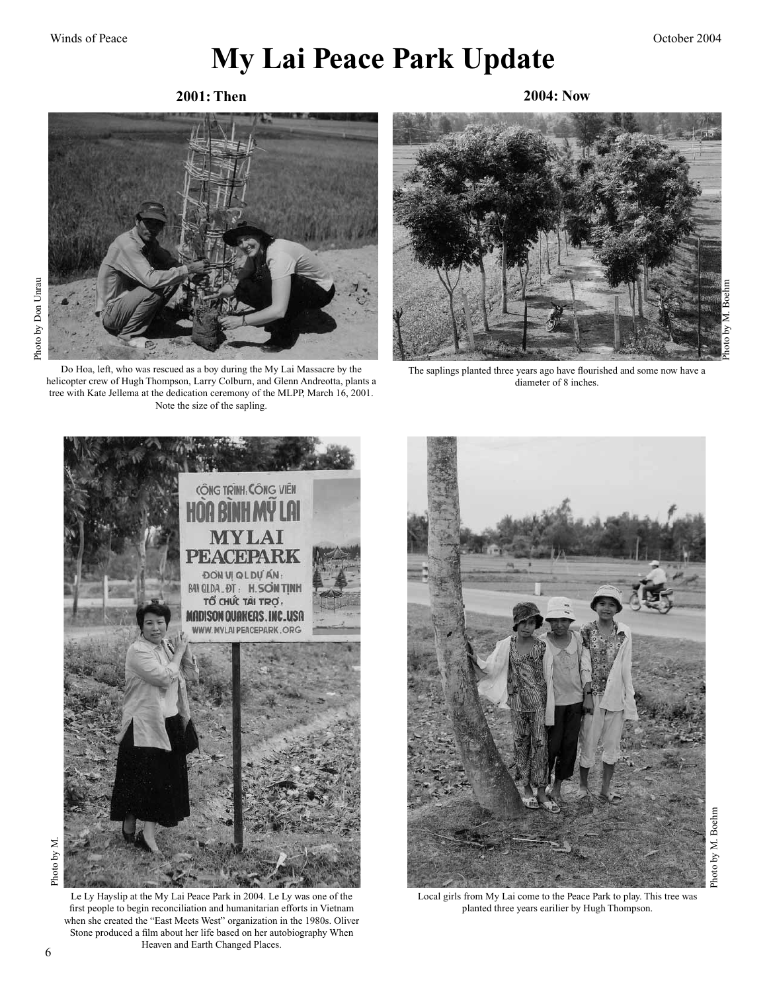## **My Lai Peace Park Update**

**2001: Then 2004: Now**



Do Hoa, left, who was rescued as a boy during the My Lai Massacre by the helicopter crew of Hugh Thompson, Larry Colburn, and Glenn Andreotta, plants a tree with Kate Jellema at the dedication ceremony of the MLPP, March 16, 2001. Note the size of the sapling.



The saplings planted three years ago have flourished and some now have a diameter of 8 inches.



Photo by M. Photo by M

Le Ly Hayslip at the My Lai Peace Park in 2004. Le Ly was one of the first people to begin reconciliation and humanitarian efforts in Vietnam when she created the "East Meets West" organization in the 1980s. Oliver Stone produced a film about her life based on her autobiography When Heaven and Earth Changed Places.



Local girls from My Lai come to the Peace Park to play. This tree was planted three years earilier by Hugh Thompson.

Photo by M. Boehm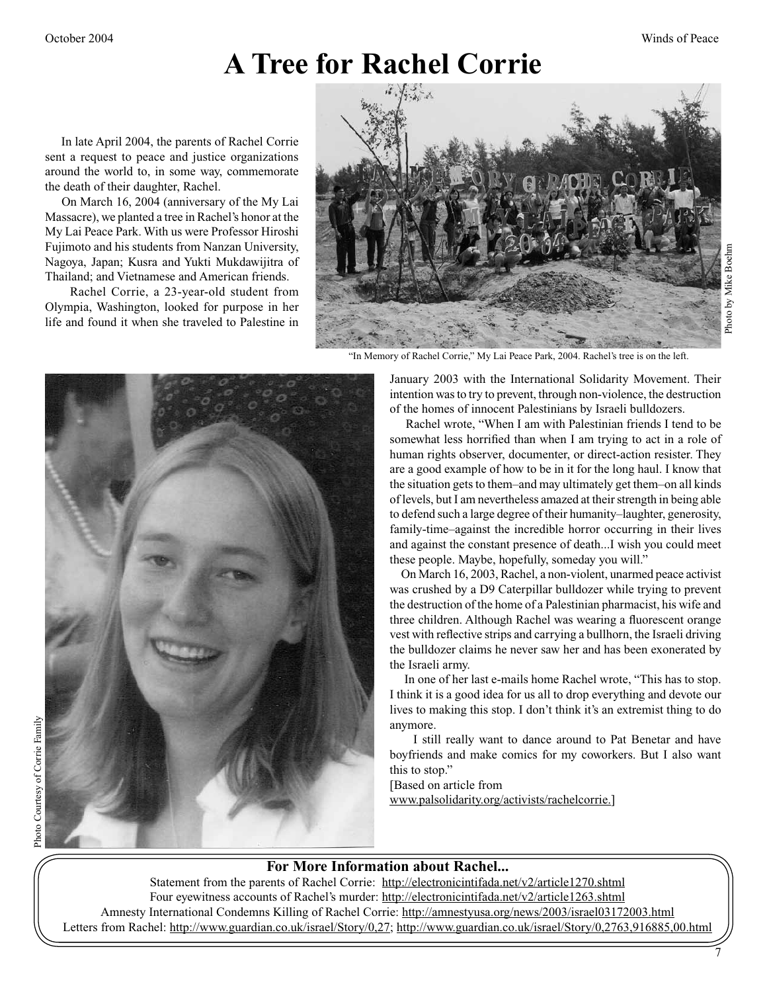# **A Tree for Rachel Corrie**

 In late April 2004, the parents of Rachel Corrie sent a request to peace and justice organizations around the world to, in some way, commemorate the death of their daughter, Rachel.

 On March 16, 2004 (anniversary of the My Lai Massacre), we planted a tree in Rachel's honor at the My Lai Peace Park. With us were Professor Hiroshi Fujimoto and his students from Nanzan University, Nagoya, Japan; Kusra and Yukti Mukdawijitra of Thailand; and Vietnamese and American friends.

 Rachel Corrie, a 23-year-old student from Olympia, Washington, looked for purpose in her life and found it when she traveled to Palestine in



"In Memory of Rachel Corrie," My Lai Peace Park, 2004. Rachel's tree is on the left.

January 2003 with the International Solidarity Movement. Their intention was to try to prevent, through non-violence, the destruction of the homes of innocent Palestinians by Israeli bulldozers.

 Rachel wrote, "When I am with Palestinian friends I tend to be somewhat less horrified than when I am trying to act in a role of human rights observer, documenter, or direct-action resister. They are a good example of how to be in it for the long haul. I know that the situation gets to them–and may ultimately get them–on all kinds of levels, but I am nevertheless amazed at their strength in being able to defend such a large degree of their humanity–laughter, generosity, family-time–against the incredible horror occurring in their lives and against the constant presence of death...I wish you could meet these people. Maybe, hopefully, someday you will."

 On March 16, 2003, Rachel, a non-violent, unarmed peace activist was crushed by a D9 Caterpillar bulldozer while trying to prevent the destruction of the home of a Palestinian pharmacist, his wife and three children. Although Rachel was wearing a fluorescent orange vest with reflective strips and carrying a bullhorn, the Israeli driving the bulldozer claims he never saw her and has been exonerated by the Israeli army.

 In one of her last e-mails home Rachel wrote, "This has to stop. I think it is a good idea for us all to drop everything and devote our lives to making this stop. I don't think it's an extremist thing to do anymore.

 I still really want to dance around to Pat Benetar and have boyfriends and make comics for my coworkers. But I also want this to stop."

[Based on article from www.palsolidarity.org/activists/rachelcorrie.]

### **For More Information about Rachel...**

Statement from the parents of Rachel Corrie: http://electronicintifada.net/v2/article1270.shtml Four eyewitness accounts of Rachel's murder: http://electronicintifada.net/v2/article1263.shtml Amnesty International Condemns Killing of Rachel Corrie: http://amnestyusa.org/news/2003/israel03172003.html Letters from Rachel: http://www.guardian.co.uk/israel/Story/0,27; http://www.guardian.co.uk/israel/Story/0,2763,916885,00.html

7

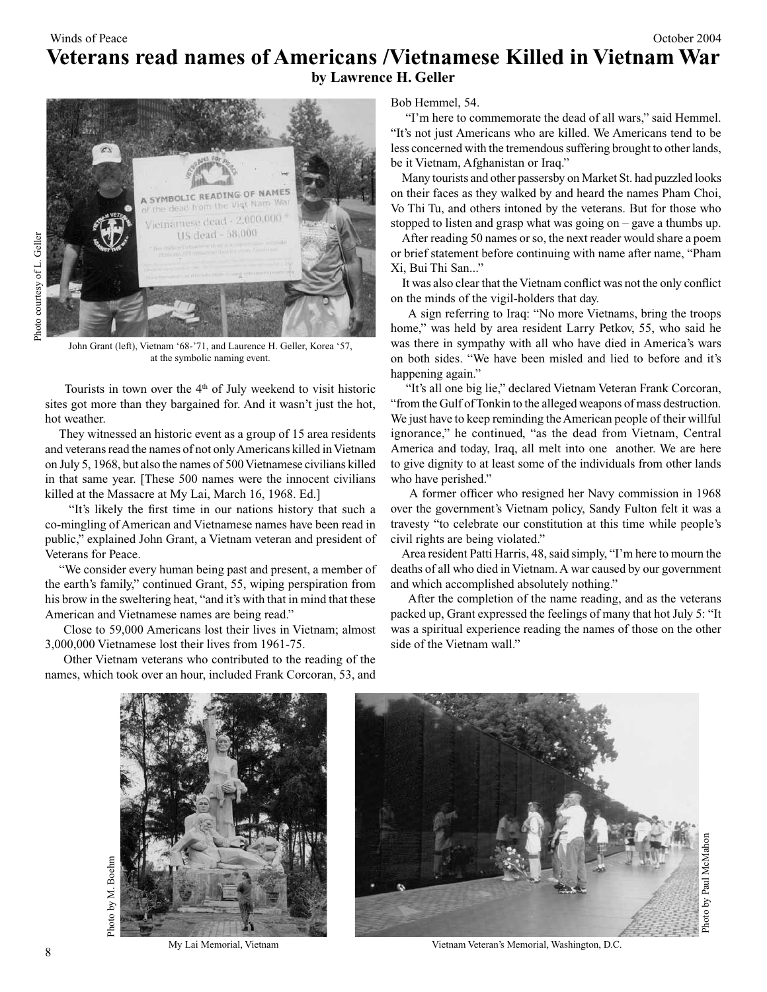### Winds of Peace **October 2004 Veterans read names of Americans /Vietnamese Killed in Vietnam War by Lawrence H. Geller**



John Grant (left), Vietnam '68-'71, and Laurence H. Geller, Korea '57, at the symbolic naming event.

Tourists in town over the  $4<sup>th</sup>$  of July weekend to visit historic sites got more than they bargained for. And it wasn't just the hot, hot weather.

 They witnessed an historic event as a group of 15 area residents and veterans read the names of not only Americans killed in Vietnam on July 5, 1968, but also the names of 500 Vietnamese civilians killed in that same year. [These 500 names were the innocent civilians killed at the Massacre at My Lai, March 16, 1968. Ed.]

 "It's likely the first time in our nations history that such a co-mingling of American and Vietnamese names have been read in public," explained John Grant, a Vietnam veteran and president of Veterans for Peace.

 "We consider every human being past and present, a member of the earth's family," continued Grant, 55, wiping perspiration from his brow in the sweltering heat, "and it's with that in mind that these American and Vietnamese names are being read."

 Close to 59,000 Americans lost their lives in Vietnam; almost 3,000,000 Vietnamese lost their lives from 1961-75.

 Other Vietnam veterans who contributed to the reading of the names, which took over an hour, included Frank Corcoran, 53, and Bob Hemmel, 54.

 "I'm here to commemorate the dead of all wars," said Hemmel. "It's not just Americans who are killed. We Americans tend to be less concerned with the tremendous suffering brought to other lands, be it Vietnam, Afghanistan or Iraq."

 Many tourists and other passersby on Market St. had puzzled looks on their faces as they walked by and heard the names Pham Choi, Vo Thi Tu, and others intoned by the veterans. But for those who stopped to listen and grasp what was going on – gave a thumbs up.

 After reading 50 names or so, the next reader would share a poem or brief statement before continuing with name after name, "Pham Xi, Bui Thi San..."

 It was also clear that the Vietnam conflict was not the only conflict on the minds of the vigil-holders that day.

 A sign referring to Iraq: "No more Vietnams, bring the troops home," was held by area resident Larry Petkov, 55, who said he was there in sympathy with all who have died in America's wars on both sides. "We have been misled and lied to before and it's happening again."

 "It's all one big lie," declared Vietnam Veteran Frank Corcoran, "from the Gulf of Tonkin to the alleged weapons of mass destruction. We just have to keep reminding the American people of their willful ignorance," he continued, "as the dead from Vietnam, Central America and today, Iraq, all melt into one another. We are here to give dignity to at least some of the individuals from other lands who have perished."

 A former officer who resigned her Navy commission in 1968 over the government's Vietnam policy, Sandy Fulton felt it was a travesty "to celebrate our constitution at this time while people's civil rights are being violated."

 Area resident Patti Harris, 48, said simply, "I'm here to mourn the deaths of all who died in Vietnam. A war caused by our government and which accomplished absolutely nothing."

 After the completion of the name reading, and as the veterans packed up, Grant expressed the feelings of many that hot July 5: "It was a spiritual experience reading the names of those on the other side of the Vietnam wall."





My Lai Memorial, Vietnam Vietnam Veteran's Memorial, Washington, D.C.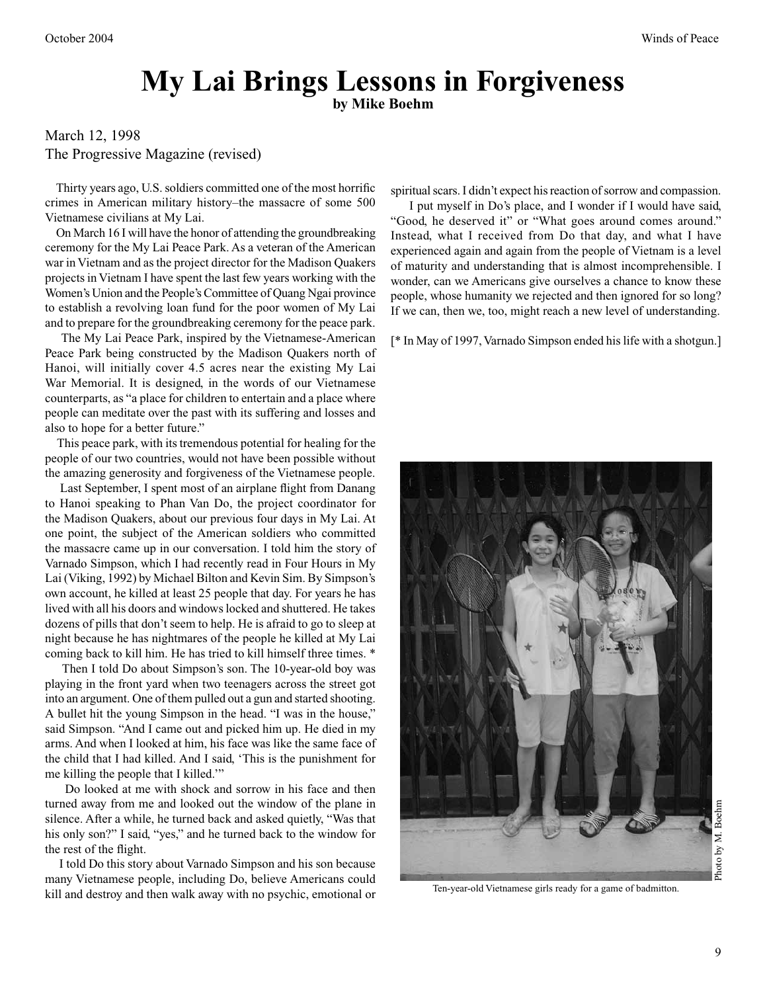# **My Lai Brings Lessons in Forgiveness**

### **by Mike Boehm**

### March 12, 1998 The Progressive Magazine (revised)

 Thirty years ago, U.S. soldiers committed one of the most horrific crimes in American military history–the massacre of some 500 Vietnamese civilians at My Lai.

 On March 16 I will have the honor of attending the groundbreaking ceremony for the My Lai Peace Park. As a veteran of the American war in Vietnam and as the project director for the Madison Quakers projects in Vietnam I have spent the last few years working with the Women's Union and the People's Committee of Quang Ngai province to establish a revolving loan fund for the poor women of My Lai and to prepare for the groundbreaking ceremony for the peace park.

 The My Lai Peace Park, inspired by the Vietnamese-American Peace Park being constructed by the Madison Quakers north of Hanoi, will initially cover 4.5 acres near the existing My Lai War Memorial. It is designed, in the words of our Vietnamese counterparts, as "a place for children to entertain and a place where people can meditate over the past with its suffering and losses and also to hope for a better future."

 This peace park, with its tremendous potential for healing for the people of our two countries, would not have been possible without the amazing generosity and forgiveness of the Vietnamese people.

 Last September, I spent most of an airplane flight from Danang to Hanoi speaking to Phan Van Do, the project coordinator for the Madison Quakers, about our previous four days in My Lai. At one point, the subject of the American soldiers who committed the massacre came up in our conversation. I told him the story of Varnado Simpson, which I had recently read in Four Hours in My Lai (Viking, 1992) by Michael Bilton and Kevin Sim. By Simpson's own account, he killed at least 25 people that day. For years he has lived with all his doors and windows locked and shuttered. He takes dozens of pills that don't seem to help. He is afraid to go to sleep at night because he has nightmares of the people he killed at My Lai coming back to kill him. He has tried to kill himself three times. \*

 Then I told Do about Simpson's son. The 10-year-old boy was playing in the front yard when two teenagers across the street got into an argument. One of them pulled out a gun and started shooting. A bullet hit the young Simpson in the head. "I was in the house," said Simpson. "And I came out and picked him up. He died in my arms. And when I looked at him, his face was like the same face of the child that I had killed. And I said, 'This is the punishment for me killing the people that I killed.'"

 Do looked at me with shock and sorrow in his face and then turned away from me and looked out the window of the plane in silence. After a while, he turned back and asked quietly, "Was that his only son?" I said, "yes," and he turned back to the window for the rest of the flight.

 I told Do this story about Varnado Simpson and his son because many Vietnamese people, including Do, believe Americans could kill and destroy and then walk away with no psychic, emotional or spiritual scars. I didn't expect his reaction of sorrow and compassion.

 I put myself in Do's place, and I wonder if I would have said, "Good, he deserved it" or "What goes around comes around." Instead, what I received from Do that day, and what I have experienced again and again from the people of Vietnam is a level of maturity and understanding that is almost incomprehensible. I wonder, can we Americans give ourselves a chance to know these people, whose humanity we rejected and then ignored for so long? If we can, then we, too, might reach a new level of understanding.

[\* In May of 1997, Varnado Simpson ended his life with a shotgun.]



Ten-year-old Vietnamese girls ready for a game of badmitton.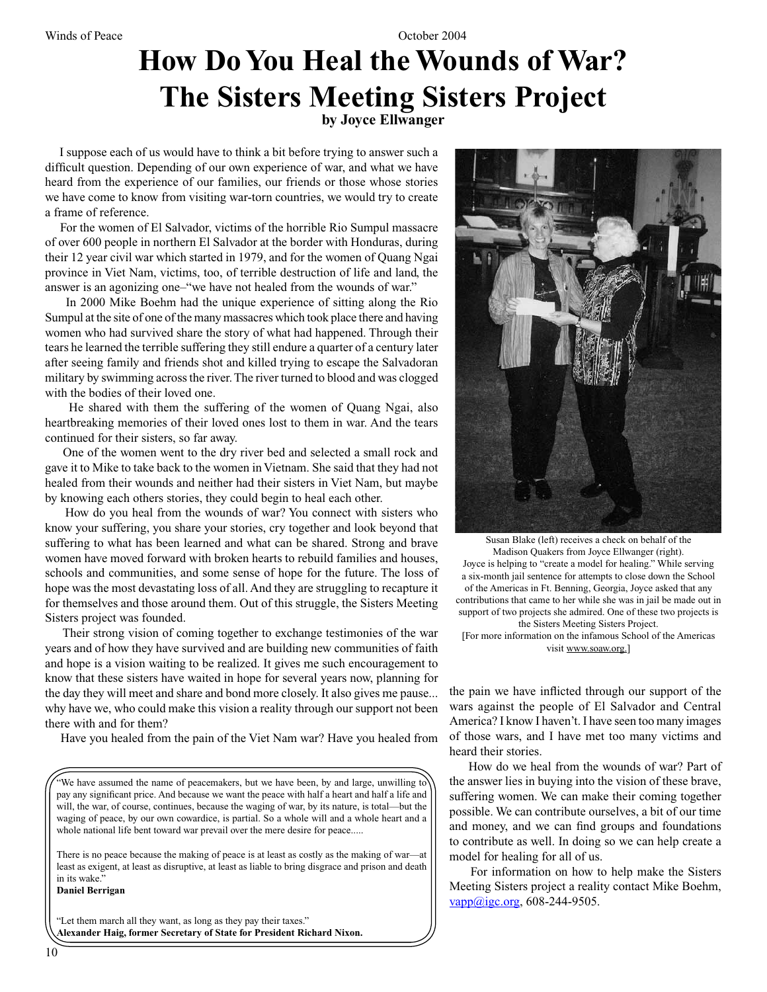# **How Do You Heal the Wounds of War? The Sisters Meeting Sisters Project**

**by Joyce Ellwanger**

 I suppose each of us would have to think a bit before trying to answer such a difficult question. Depending of our own experience of war, and what we have heard from the experience of our families, our friends or those whose stories we have come to know from visiting war-torn countries, we would try to create a frame of reference.

 For the women of El Salvador, victims of the horrible Rio Sumpul massacre of over 600 people in northern El Salvador at the border with Honduras, during their 12 year civil war which started in 1979, and for the women of Quang Ngai province in Viet Nam, victims, too, of terrible destruction of life and land, the answer is an agonizing one–"we have not healed from the wounds of war."

 In 2000 Mike Boehm had the unique experience of sitting along the Rio Sumpul at the site of one of the many massacres which took place there and having women who had survived share the story of what had happened. Through their tears he learned the terrible suffering they still endure a quarter of a century later after seeing family and friends shot and killed trying to escape the Salvadoran military by swimming across the river. The river turned to blood and was clogged with the bodies of their loved one.

 He shared with them the suffering of the women of Quang Ngai, also heartbreaking memories of their loved ones lost to them in war. And the tears continued for their sisters, so far away.

 One of the women went to the dry river bed and selected a small rock and gave it to Mike to take back to the women in Vietnam. She said that they had not healed from their wounds and neither had their sisters in Viet Nam, but maybe by knowing each others stories, they could begin to heal each other.

 How do you heal from the wounds of war? You connect with sisters who know your suffering, you share your stories, cry together and look beyond that suffering to what has been learned and what can be shared. Strong and brave women have moved forward with broken hearts to rebuild families and houses, schools and communities, and some sense of hope for the future. The loss of hope was the most devastating loss of all. And they are struggling to recapture it for themselves and those around them. Out of this struggle, the Sisters Meeting Sisters project was founded.

 Their strong vision of coming together to exchange testimonies of the war years and of how they have survived and are building new communities of faith and hope is a vision waiting to be realized. It gives me such encouragement to know that these sisters have waited in hope for several years now, planning for the day they will meet and share and bond more closely. It also gives me pause... why have we, who could make this vision a reality through our support not been there with and for them?

Have you healed from the pain of the Viet Nam war? Have you healed from

"We have assumed the name of peacemakers, but we have been, by and large, unwilling to pay any significant price. And because we want the peace with half a heart and half a life and will, the war, of course, continues, because the waging of war, by its nature, is total—but the waging of peace, by our own cowardice, is partial. So a whole will and a whole heart and a whole national life bent toward war prevail over the mere desire for peace.....

There is no peace because the making of peace is at least as costly as the making of war—at least as exigent, at least as disruptive, at least as liable to bring disgrace and prison and death in its wake."

**Daniel Berrigan**

"Let them march all they want, as long as they pay their taxes." **Alexander Haig, former Secretary of State for President Richard Nixon.**



Susan Blake (left) receives a check on behalf of the Madison Quakers from Joyce Ellwanger (right). Joyce is helping to "create a model for healing." While serving a six-month jail sentence for attempts to close down the School of the Americas in Ft. Benning, Georgia, Joyce asked that any contributions that came to her while she was in jail be made out in support of two projects she admired. One of these two projects is the Sisters Meeting Sisters Project. [For more information on the infamous School of the Americas visit www.soaw.org.]

the pain we have inflicted through our support of the wars against the people of El Salvador and Central America? I know I haven't. I have seen too many images of those wars, and I have met too many victims and heard their stories.

 How do we heal from the wounds of war? Part of the answer lies in buying into the vision of these brave, suffering women. We can make their coming together possible. We can contribute ourselves, a bit of our time and money, and we can find groups and foundations to contribute as well. In doing so we can help create a model for healing for all of us.

 For information on how to help make the Sisters Meeting Sisters project a reality contact Mike Boehm,  $vapp@igc.org, 608-244-9505.$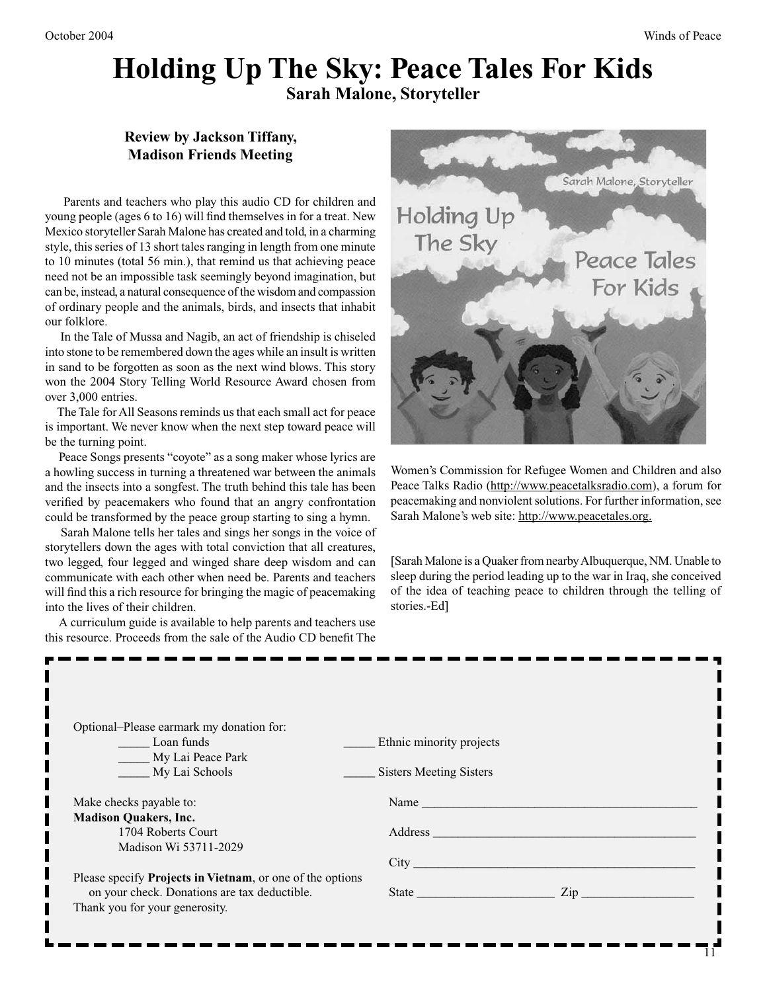#### October 2004 Winds of Peace

### **Holding Up The Sky: Peace Tales For Kids Sarah Malone, Storyteller**

### **Review by Jackson Tiffany, Madison Friends Meeting**

 Parents and teachers who play this audio CD for children and young people (ages 6 to 16) will find themselves in for a treat. New Mexico storyteller Sarah Malone has created and told, in a charming style, this series of 13 short tales ranging in length from one minute to 10 minutes (total 56 min.), that remind us that achieving peace need not be an impossible task seemingly beyond imagination, but can be, instead, a natural consequence of the wisdom and compassion of ordinary people and the animals, birds, and insects that inhabit our folklore.

 In the Tale of Mussa and Nagib, an act of friendship is chiseled into stone to be remembered down the ages while an insult is written in sand to be forgotten as soon as the next wind blows. This story won the 2004 Story Telling World Resource Award chosen from over 3,000 entries.

 The Tale for All Seasons reminds us that each small act for peace is important. We never know when the next step toward peace will be the turning point.

 Peace Songs presents "coyote" as a song maker whose lyrics are a howling success in turning a threatened war between the animals and the insects into a songfest. The truth behind this tale has been verified by peacemakers who found that an angry confrontation could be transformed by the peace group starting to sing a hymn.

 Sarah Malone tells her tales and sings her songs in the voice of storytellers down the ages with total conviction that all creatures, two legged, four legged and winged share deep wisdom and can communicate with each other when need be. Parents and teachers will find this a rich resource for bringing the magic of peacemaking into the lives of their children.

 A curriculum guide is available to help parents and teachers use this resource. Proceeds from the sale of the Audio CD benefit The



Women's Commission for Refugee Women and Children and also Peace Talks Radio (http://www.peacetalksradio.com), a forum for peacemaking and nonviolent solutions. For further information, see Sarah Malone's web site: http://www.peacetales.org.

[Sarah Malone is a Quaker from nearby Albuquerque, NM. Unable to sleep during the period leading up to the war in Iraq, she conceived of the idea of teaching peace to children through the telling of stories.-Ed]

| Optional–Please earmark my donation for:<br><b>Example 1</b> Loan funds | Ethnic minority projects  |
|-------------------------------------------------------------------------|---------------------------|
| My Lai Peace Park                                                       |                           |
| My Lai Schools                                                          | Sisters Meeting Sisters   |
| Make checks payable to:                                                 |                           |
| <b>Madison Quakers, Inc.</b>                                            |                           |
|                                                                         |                           |
| 1704 Roberts Court                                                      |                           |
| Madison Wi 53711-2029                                                   |                           |
|                                                                         | City                      |
| Please specify Projects in Vietnam, or one of the options               |                           |
| on your check. Donations are tax deductible.                            | State <u>Contains Zip</u> |
| Thank you for your generosity.                                          |                           |